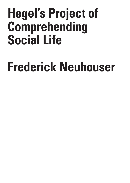## **Hegel's Project of Comprehending Social Life**

## **Frederick Neuhouser**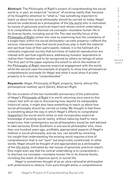**Abstract:** The *Philosophy of Right*'s project of comprehending the social world is, in part, an empirical "science" of existing reality that, because of its thoughtful attention to "what is," has something important to teach us about how social philosophy should be carried on today. Hegel should be understood as a philosopher of the life-world who is motivated by issues of genuinely practical import and whose central undertaking is to comprehend—to disclose via concepts—mundane human life in its diverse facets, including social life. The real-worldly focus of the Philosophy of Right comes into view by examining how the complexity of a single topic within his social philosophy—private property—reflects the various, interwoven roles that social practices play in both the material and spiritual lives of their participants. Indeed, it is the hallmark of a rationally organized society that activities of material reproduction are imbued with spiritual significance, addressing humans' aspirations to realize their freedom and to be recognized by others as beings of value. The first part of the paper explores the extent to which the method of the Philosophy of Right requires empirical engagement with the world, while the second uses the example of property to show how philosophical comprehension proceeds for Hegel and what it must show if private property is to count as "comprehended."

**Keywords:** Hegel, *Philosophy of Right*, property, family, ethical life, philosophical method, spirit (*Geist*), Abstract Right

On the occasion of the two hundredth anniversary of the publication of Hegel's Philosophy of Right it is worth returning once more to this classic text with an eye to discovering how, beyond its indisputable historical value, it might also have something to teach us about how social philosophy should be carried on today. My thought is that there is something about the way in which Hegel's efforts to comprehend (begreifen) the social world relies on and incorporates empirical knowledge of existing social reality, without reducing itself to mere empiricism, that contemporary social philosophers would be well advised to take seriously. Émile Durkheim is one social philosopher who, more than one hundred years ago, profitably appropriated aspects of Hegel's method in social philosophy, and we, too, can benefit by revisiting his insight that understanding the existing world requires a kind of comprehension that is not "pure" but empirically conditioned. In other words, Hegel should be thought of and appropriated as a philosopher of the life-world, motivated by real issues of genuinely practical import. One might even say that his central undertaking is to comprehend to disclose via concepts—mundane human life in its diverse facets, including the realm of objective spirit, or social life.

Hegel is sometimes thought of as an ultra-rationalist philosopher with pretensions to deduce, from pure thought alone, a comprehensive

C R I S I S & C R I T  $\mathbf{I}$ Q U E / Volume 8 Issue 2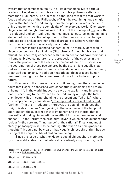system that encompasses reality in all its dimensions. More serious readers of Hegel know that this caricature of his philosophy distorts more than illuminates. The aim of this paper is to reveal the real-worldly focus and sources of the Philosophy of Right by examining how a single topic within his social philosophy—private property—reveals the depth of his engagement with the complexity of the everyday world. One reason Hegel's social thought remains relevant is that the concept of life, in both its biological and spiritual (geistig) meanings, constitutes an ineliminable element of his conception of spirit and of the freedom spiritual beings both aspire to and, according to Hegel, are able to achieve within the institutions in which they already participate.

Nowhere is this expanded conception of life more evident than in Hegel's conception of ethical life (Sittlichkeit). Although it is clear that ethical life is centrally concerned with human needs that have their basis in humans' biological nature—the reproduction of the species in the family, the production of the necessary means of life in civil society, and the coordination of these two spheres by the state—it is equally clear that such needs also take on deep spiritual dimensions within a rationally organized society and, in addition, that ethical life addresses human needs—for recognition, for example—that have little to do with pure nature.

Precisely in the domain of social philosophy, then, there can be no doubt that Hegel is concerned with conceptually disclosing the nature of human life in the world. Indeed, he says this explicitly and in several places: according to the Preface to the Philosophy of Right, the task of philosophy lies in comprehending the present and "what is,"1 where this comprehending consists in "grasping what is present and actual (<u>wirklich</u>)."<sup>2</sup> In the Introduction, moreover, the goal of his philosophy of right is described as "recognizing in the semblance of the temporal and transient the substance that is immanent and the eternal that is present" and finding "in an infinite wealth of forms, appearances, and shapes"—in the "brightly colored outer layer in which consciousness first resides"—the core and "inner pulse" of the rational.<sup>3</sup> Finally and most clearly, philosophy is said to be nothing other than "its time grasped in thoughts."4 It could not be clearer that Hegel's philosophy of right has as its object the empirical life of real human beings.

Since the issue of whether Hegel's social philosophy is motivated by a life-worldly, life-practical interest is relatively easy to settle, I will

2 Hegel 1991, p. 20; 2004, p. 24.

3 Hegel 1991, pp. 20, 21; 2004, pp. 25, 26.

4 Hegel 1991, p. 21; 2004, p. 26.

Issue 2

C R I S

<sup>1</sup> Hegel 1991, p. 21; 2004, p. 26. In some instances I have amended the English translations of quotations from the Philosophy of Right.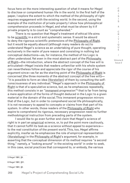focus here on the more interesting question of what it means for Hegel to disclose or comprehend human life in the world. In the first half of the paper, I explore the extent to which the method of the philosophy of right requires engagement with the existing world. In the second, using the example of the institution of private property I show how philosophical comprehension proceeds in Hegel, and what must be shown by it if private property is to count as "comprehended."

There is no question that Hegel's treatment of ethical life aims to be scientific in a strict and systematic sense. It would be absurd to deny the rigorous scientific pretensions of the Philosophy of Right, but it would be equally absurd (although many readers do so) to understand Hegel's science as an undertaking of pure thought, operating exclusively in the realm of pure reason and consisting in nothing but conceptual deductions—as, for instance, the method of his Logic is often understood. Yet even in the most abstract part of the Philosophy of Right—the introduction, where the abstract concept of the free will is articulated—Hegel insists that readers unfamiliar with his whole system can nevertheless follow and appreciate the rigor of the course of his argument since—as far as the starting point of the Philosophy of Right is concerned )the three moments of the abstract concept of the free will)— "it is possible to form an idea (Vorstellen) of them by consulting the selfconsciousness of any individual."<sup>5</sup>Hegel's approach in the <u>Philosophy of</u> Right is that of a speculative science, but, as he emphasizes repeatedly, this method consists in an "<u>immanent</u> progression"<sup>6</sup> that is far from being a mere application of the forms of thought deduced in the Logic to a given material in the domain of the social. This immanent progression mirrors that of the Logic, but in order to comprehend social life philosophically, it is not necessary to appeal to concepts or claims from that part of his system. In other words, those readers of the **Philosophy of Right** who aspire to comprehend its rigorous, necessary progression need no further methodological instruction from preceding parts of the system.

I would like to go even further and claim that Hegel's science of right is in part an empirical science, or, to put the point more cautiously, that it cannot fulfill its task as a science without appeal to experience to the real constitution of the present world. This, too, Hegel affirms explicitly, insofar as he emphasizes the role of empirical representation (Vorstellung) in the Philosophy of Right's argument, for example, in asserting that the conceptual dimension of its method requires "a second thing," namely, a "looking around" in the existing world<sup>7</sup> in order to seek, in this case, social practices that correspond to, or embody, the various

5 Hegel 1991, §4.

6 Hegel 1991, §31.

7 Hegel 1991, §2.

R I S I S & C R I T  $\mathbf{I}$ Q U E / Volume 8

Issue 2

C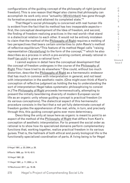configurations of the guiding concept of the philosophy of right (practical freedom). This is one reason that Hegel also claims that philosophy can accomplish its work only once "actuality (Wirklichkeit) has gone through its formative process and attained its completed state."8

That Hegel's social philosophy is concerned with real human life is evident from the fact that its method has two inseparable aspects first, the conceptual development of the Idea of freedom, and second, the finding of freedom-realizing practices in the real world—that stand in a dialectical relation to each other. It would not be entirely mistaken to claim that the method of the Philosophy of Right requires a melding of two perspectives that bears certain similarities to John Rawls's method of reflective equilibrium.9 This feature of its method Hegel calls "raising representation (Vorstellung) to the form of the concept,"10 which he also describes as a process in which a pre-existing content, already rational in itself (an sich) is given a rational form.<sup>11</sup>

I cannot explore in detail here the conceptual development that the concept of freedom undergoes in the course of the Philosophy of Right. This I have tried to do elsewhere.<sup>12</sup> One could, without too much distortion, describe the Philosophy of Right as a hermeneutic endeavor that has much in common with interpretation in general, and not least with interpretation in the aesthetic realm. (One might even think of Kant's conception of reflective judgment as holding the key to understanding the sort of interpretation Hegel takes systematic philosophizing to consist in.) The Philosophy of Right proceeds hermeneutically, attempting to present the initially bewildering diversity of modern European social life as an organic unity whose guiding concept is practical freedom (in its various conceptions). The dialectical aspect of this hermeneutic procedure consists in the fact that a not yet fully determinate concept of freedom guides the apprehension of the real, while, in turn, and precisely through this, this guiding concept gains ever more determinacy.

Describing the unity at issue here as organic is meant to point to an aspect of the method of the Philosophy of Right that differs from Kant's conception of aesthetic interpretation. For to present the social order as rational is to show how its specialized domains perform complementary functions that, working together, realize practical freedom in its various guises. That is, the hallmark of both ethical and purely biological life is the functionally specialized coordination of parts. A living being is for Hegel

8 Hegel 1991, p. 23; 2004, p. 28.

9 Rawls 1999, pp. 18-19, 42-5.

10 Hegel 1991, §2.

11 Hegel 1991, p. 11; 2004, p. 14.

12 Neuhouser 2017, pp. 16-36.

C R I S I S & C R I T I Q U E / Volume 8

Issue 2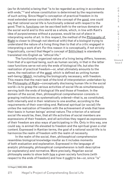(as for Aristotle) a being that "is to be regarded as acting in accordance with ends,<sup>"13</sup> and whose constitution is determined by the requirements of such acting. Since Hegel's conception of practical freedom in its most extended sense coincides with the concept of the good, one could say that rational social life is functionally ordered with respect to the good. That is, functions can be ascribed both to the various domains of the social world and to this world as a whole, which, in line with Kant's idea of purposiveness without a purpose, would be out of place in interpreting works of art. In this respect, the method of the Philosophy of Right is closer to (though not identical with) that of a biologist trying to understand the nature of a living thing than to that of a critic engaged in interpreting a work of art. For this reason it is conceptually, if not strictly linguistically, correct that Hegel's concept of Sittlichkeit is standardly translated into English as "ethical life."

The functionally-organized nature of a living being differs, however, from that of a spiritual being, such as human society, in that in the latter case functions serve not only the ends of biological life, but also the realization of practical freedom—or, what ultimately amounts to the same, the realization of the good, which is defined as uniting human well-being (Wohl), including the biologically necessary, with freedom. This means that the main task of the kind of interpretation undertaken by the Philosophy of Right—conceptually disclosing human life in the social world—is to grasp the various activities of social life as simultaneously serving both the ends of biological life and those of freedom. In the domain of the social, then, philosophical comprehension consists in grasping institutions as systematically ordered—that is, as constituted, both internally and in their relations to one another, according to the requirements of their overriding end. Rational spiritual (or social) life unites the realization of freedom with the achievement of ends that have their basis in human beings' animal nature. The criterion of a rational social life would be, then, that all life activities of social members are expressions of their freedom, and all activities they regard as expressions of their freedom are also ways of participating in life. Only in this way, one could say, is animal life elevated to freedom and the spiritual given a vital content. Expressed in Kantian terms, the goal of a rational social life is to harmonize the realm of freedom with the realm of necessity.

In the realm of the social, then, philosophical comprehension resembles biological knowledge insofar as it includes moments of both evaluation and explanation. Expressed in the language of analytic philosophy, philosophical comprehension is both descriptive (or explanatory) and normative. More precisely, Hegelian social philosophy seeks to show both how a given society functions (with respect to the ends of freedom) and how it ought to be—or, since "is"

13 Hegel [1830] 2004, §360.

I S I S & C R I T  $\mathbf{I}$ Q U E / Volume 8

Issue 2

C R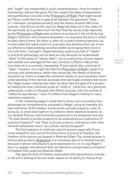and "ought" are inseparable in such comprehension—how its mode of functioning realizes the good. For this reason the tasks of explanation and justification coincide in the Philosophy of Right. That might sound as if there could then be no gap at all between the good and "what is"—between completed actuality and the merely existent. We know, however, that this is not the case for Hegel (at least not in the realm of the spiritual), as is evident from the fact that the social order depicted by the Philosophy of Right was nowhere to be found in the world during Hegel's lifetime—and nowhere thereafter—in precisely the form in which he describes it there. So there is, after all, a small distance between, as it were, ideal and reality (and it is precisely this distance that can orient our efforts to make existing societies better by bringing them more in line with their "concept"). Hegel famously rejects any talk of "ideals" in practical philosophy, but he does so only because he understands "ideal" in the sense of "empty ideal"—as a construction of pure reason that stands over and against the real, similarly to Plato's idea of the true state as it is normally interpreted. If one rejects this construal of "ideal," however, one might say that the Philosophy of Right's goal is to uncover and systematize, rather than prescribe, the ideals of existing societies, by which is meant the immanent ideals of such societies—their understanding of the rational purposes that spiritually animate real social life. Hegel means nothing else when he describes the goal of his project as finding the inner (rational) pulse of "what is." (And this, very generally understood, is akin to the goal John Rawls pursues with his method of "reflective equilibrium," even if it differs from Hegel's method in many important respects).

In the remaining pages I would like to show more concretely how philosophical comprehension proceeds in Hegel, using an example of a real institution of the modern social world—private property—and, by doing so, to shed more light on my hitherto rather abstract remarks on his method. The two interconnected questions to be answered here are: "To what extent is private property to be understood as a realization of practical freedom?" and "How is private property interwoven with other rational institutions which, as a whole, realize the good?"

The first question is relatively easy to answer, especially if one limits oneself to only one of the three forms of practical freedom, the freedom of the person as treated in Abstract Right. The simple answer is that private property (Eigentum) is a necessary part of a rational society because it allows individuals to give expression to—or, to use Hegel's term, to realize—the abstract (but not therefore unimportant) conception of freedom that underlies Abstract Right.

The specific kind of freedom associated with personhood consists in the will's setting of its own ends, based on its ability to choose from

C R I S I S & C R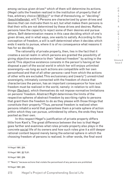among various given drives<sup>14</sup> which of them will determine its actions. (Hegel calls the freedom realized in the institution of property that of free, arbitrary choice (Willkür)<sup>15</sup> or that of theresolving, or "deciding" (beschließende), will.16) Persons are characterized by given drives and desires that can motivate them to act, but what makes them persons is that their wills are not determined by these drives and desires. Rather, persons have the capacity to reject some of their desires and pursue others. Self-determination means in this case deciding which of one's given drives, and in what ways, one wants to satisfy. According to this conception of freedom, a will is self-determined when it decides which ends it wants to pursue, where it is of no consequence what reasons it has for so deciding.

The rationality of private property, then, lies in the fact that it creates a social realm in which persons are granted the possibility of giving objective existence to their "abstract freedom" by acting in the world. This objective existence consists in the person's having at her disposal a part of the social world in which her will enjoys unlimited sovereignty—as long as such actions are compatible with her own personhood and that of all other persons—and from which the actions of other wills are excluded. This exclusionary and (nearly<sup>17</sup>) unrestricted sovereignty, intimately connected with the freedom of choice that characterizes the person, has an important consequence for how such freedom must be realized in the world, namely: in relation to will-less things (Sachen), which themselves do not impose normative limitations on persons' freedom. Abstract Right determines the limits of the respective spheres of abstract freedom by ascribing rights to persons that grant them the freedom to do as they please with those things that constitute their property.18 Thus, personal freedom is realized when persons inhabit a world that guarantees them a private sphere of action within which they can pursue, unhindered by others, the ends they have posited as their own.

In this respect Hegel's justification of private property differs little from Kant's. The great difference between the two is that Hegel goes farther and examines what roles private property also plays in the concrete social life of its owners and how such roles give it a still deeper rational content beyond merely being the external sphere in which the choosing freedom of persons is realized. In other words, the final word

14 Hegel 1991, §34. 15 Hegel 1991, §§ 75,81. 16 Hegel 1991, §39. 17 "Nearly" because actions that violate the personhood of any persons are prohibited. 18 Hegel 1991, §40.

C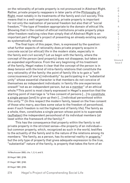on the rationality of private property is not pronounced in Abstract Right. Rather, private property reappears in later parts of the Philosophy of Right, most notably in its treatments of the family and civil society. This means that in a well-organized society, private property is important for not only the realization of personal freedom but also that of "social freedom,"19 the type of freedom appropriate to the domain of ethical life. Showing that in the context of ethical institutions private property plays other freedom-realizing roles than simply that of Abstract Right is an important part of Hegel's project of presenting an already existing society as systematically rational.

The final topic of this paper, then, is expressed by the question: what further aspects of rationality does private property acquire in concrete social (or ethical) life in the modern state, especially in the family and civil society? Let us begin with the family, where the concept of the person (and property) does not disappear, but takes on an expanded significance. From the very beginning of his treatment of the family, Hegel makes it clear that the concept of the person is in deep tension with the kind of intra-family relations that constitute the very rationality of the family: the point of family life is to gain a "selfconsciousness [of one's] individuality" by participating in a "substantial unity" whose essential character is that members do not conceive of themselves as independent individuals: in family life one experiences oneself "not as an independent person, but as a member" of an ethical whole.<sup>20</sup> This point is most clearly expressed in Hegel's assertion that the starting point of marriage is "a free consent of persons [...] to constitute a single person [and] to give up their [...] individual personhood within this unity."21 (In this respect the modern family, based on the free consent of those who marry, ascribes some value to the freedom of personhood, even if such freedom is not the highest end of family life). The family as a whole, then, constitutes a single person whose point is to supersede (aufheben) the independent personhood of its individual members (at least within the framework of the family).<sup>22</sup>

This has the consequence that property within the family is not private property in the strictest sense—the property of an individual but common property, which, recognized as such in the world, testifies to the actuality of the family and to the nature of the relations among its members: "the family, as a person, has its external reality in property," but the only type of property that gives adequate expression to the true, "substantial" nature of the family, is property that takes the form of an

19 Neuhouser 2003, chs. 1, 2, 4, and 5.

20 Hegel 1991, §158.

................................

21 Hegel 1991, §162.

22 Hegel 1991, §163.

C R  $\mathbf{I}$ S I S & C R I T I Q U E / Volume 8 Issue 2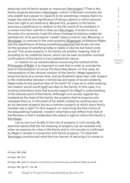enduring fund of family assets or resources (Vermögen).<sup>23</sup> That in the family property becomes a Vermögen—which in German connotes not only wealth but a power or capacity to do something—means that it no longer has merely the significance of being a sphere in which persons have the right to act arbitrarily. Beyond this, property in the family acquires a significance in relation to the life-world of its members; it is woven into their real life in that, as a Vermögen, it exists to serve the ends of a commonly-lived life where (instead of arbitrary ends) the satisfaction of its participants' needs<sup>24</sup> plays a central role. Moreover, a Vermögen, in contrast to the mere property (Eigentum) of Abstract Right, has the significance of being something enduring that exists not only for the purpose of satisfying today's needs or desires but future ones as well. This gives property in the family yet another meaning, that of providing for an indefinite future, which can be seen as another outward confirmation of the family's true (substantial) nature.

In relation to my remarks above concerning the method of the Philosophy of Right, it is important to note that in order to provide the kind of interpretation of social life described above—in this case, an interpretation of the rational mission of the family—Hegel appeals to empirical facts of a certain kind. Just as Durkheim does later with respect to the relationship between criminal law and types of social solidarity, Hegel looks to the positive laws of his time<sup>25</sup> for clues as to what meaning the modern social world itself ascribes to the family. In this case, it is existing inheritance laws that provide support for Hegel's understanding of the rational point of the family: Although civil society regards the husband as the head of the family, the property that he acquires and manages there is, in the event of his death, treated by existing laws not as his personal property but as a common property to which every family member has a right.26 In this respect—in restricting the free choice of the bequeathing husband—modern inheritance law differs from that of the Romans in that it establishes the widow's right to inherit the family's Vermögen.

Let us now turn briefly to the role of property in civil society. My assertion above that the full meaning of property can be revealed only when we examine its roles in the family and in civil society is confirmed by Hegel's remark in connection with family property: "In what that Vermögen consists and what the true manner of securing it is comes to

23 Hegel 1991, §169.

24 Hegel 1991, §171.

25 Hegel 1991, §172; for details on the history of inheritance law, see Beckert 2013, pp. 23-36.

26 Hegel 1991, §§170-1, 178, 180.

I S I S & C R I T  $\mathbf{I}$ Q U E / Volume 8

C R

Issue 2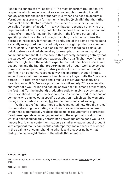light in the sphere of civil society."<sup>27</sup> The most important (but not only<sup>28</sup>) respect in which property acquires a more complex meaning in civil society concerns the labor of the family's father. The need to acquire a Vermögen as a provision for the family implies (typically) that the father must make himself into a productive member of civil society—of the so-called "system of needs"—in a way that corresponds not only to the requirements of civil society but also to the need to acquire a permanent, reliable Vermögen for his family, namely, in the lifelong pursuit of a specific productive activity. Through his labor, the father acquires the Vermögen necessary for the family's ends, and at the same time he gains a socially recognized identity not only as an upright, productive member of civil society in general, but also (in fortunate cases) as a particular individual—as a skilled shoemaker, for example, or an honest, qualityconscious merchant. It is precisely in this property-acquiring activity that the values of free personhood reappear, albeit at a "higher level" than in Abstract Right: both the modern expectation that one choose one's own occupation and the fact that property acquired through work also serves to realize certain particular, arbitrary ends (of the husband or family) confirm in an objective, recognized way the important, though limited, value of personal freedom—which explains why Hegel calls the "concrete person"—"a totality of needs and a mixture of natural necessity and free choice (Willkür)"—"one principle" of civil society.29 The systematic character of a well-organized society shows itself in, among other things, the fact that (for the husband) productive activity in civil society unites free personhood with particular identities—as husband and father and as someone who carries out a specific occupation—which can be won only through participation in social life (in the family and civil society).

With these reflections, I hope to have indicated how Hegel's project of comprehending the existing social world as rational—as a coherent whole that systematically realizes the complex requirements of practical freedom—depends on an engagement with the empirical world, without which a philosophical, fully determined knowledge of the good would be impossible. It is my contention that only a similar engagement of thought with empirical reality can enable contemporary social theory to succeed in the dual task of comprehending what is and discovering how that reality can be brought closer to the ideals that animate it.

27 Hegel 1991, §§170.

29 Hegel 1991, §§182.

C R I S I S & C R I T I Q U E / Volume 8 Issue 2

<sup>28</sup> Corporations, too, play a role in securing the worker's and his family's Vermögen (Hegel 1991, §253).